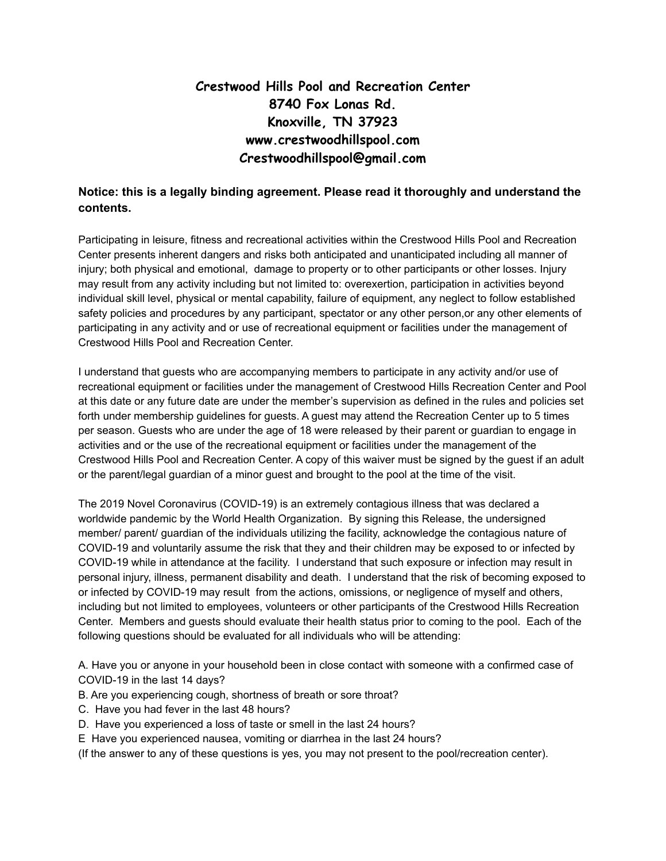## **Crestwood Hills Pool and Recreation Center 8740 Fox Lonas Rd. Knoxville, TN 37923 www.crestwoodhillspool.com Crestwoodhillspool@gmail.com**

## **Notice: this is a legally binding agreement. Please read it thoroughly and understand the contents.**

Participating in leisure, fitness and recreational activities within the Crestwood Hills Pool and Recreation Center presents inherent dangers and risks both anticipated and unanticipated including all manner of injury; both physical and emotional, damage to property or to other participants or other losses. Injury may result from any activity including but not limited to: overexertion, participation in activities beyond individual skill level, physical or mental capability, failure of equipment, any neglect to follow established safety policies and procedures by any participant, spectator or any other person,or any other elements of participating in any activity and or use of recreational equipment or facilities under the management of Crestwood Hills Pool and Recreation Center.

I understand that guests who are accompanying members to participate in any activity and/or use of recreational equipment or facilities under the management of Crestwood Hills Recreation Center and Pool at this date or any future date are under the member's supervision as defined in the rules and policies set forth under membership guidelines for guests. A guest may attend the Recreation Center up to 5 times per season. Guests who are under the age of 18 were released by their parent or guardian to engage in activities and or the use of the recreational equipment or facilities under the management of the Crestwood Hills Pool and Recreation Center. A copy of this waiver must be signed by the guest if an adult or the parent/legal guardian of a minor guest and brought to the pool at the time of the visit.

The 2019 Novel Coronavirus (COVID-19) is an extremely contagious illness that was declared a worldwide pandemic by the World Health Organization. By signing this Release, the undersigned member/ parent/ guardian of the individuals utilizing the facility, acknowledge the contagious nature of COVID-19 and voluntarily assume the risk that they and their children may be exposed to or infected by COVID-19 while in attendance at the facility. I understand that such exposure or infection may result in personal injury, illness, permanent disability and death. I understand that the risk of becoming exposed to or infected by COVID-19 may result from the actions, omissions, or negligence of myself and others, including but not limited to employees, volunteers or other participants of the Crestwood Hills Recreation Center. Members and guests should evaluate their health status prior to coming to the pool. Each of the following questions should be evaluated for all individuals who will be attending:

A. Have you or anyone in your household been in close contact with someone with a confirmed case of COVID-19 in the last 14 days?

- B. Are you experiencing cough, shortness of breath or sore throat?
- C. Have you had fever in the last 48 hours?
- D. Have you experienced a loss of taste or smell in the last 24 hours?
- E Have you experienced nausea, vomiting or diarrhea in the last 24 hours?

(If the answer to any of these questions is yes, you may not present to the pool/recreation center).